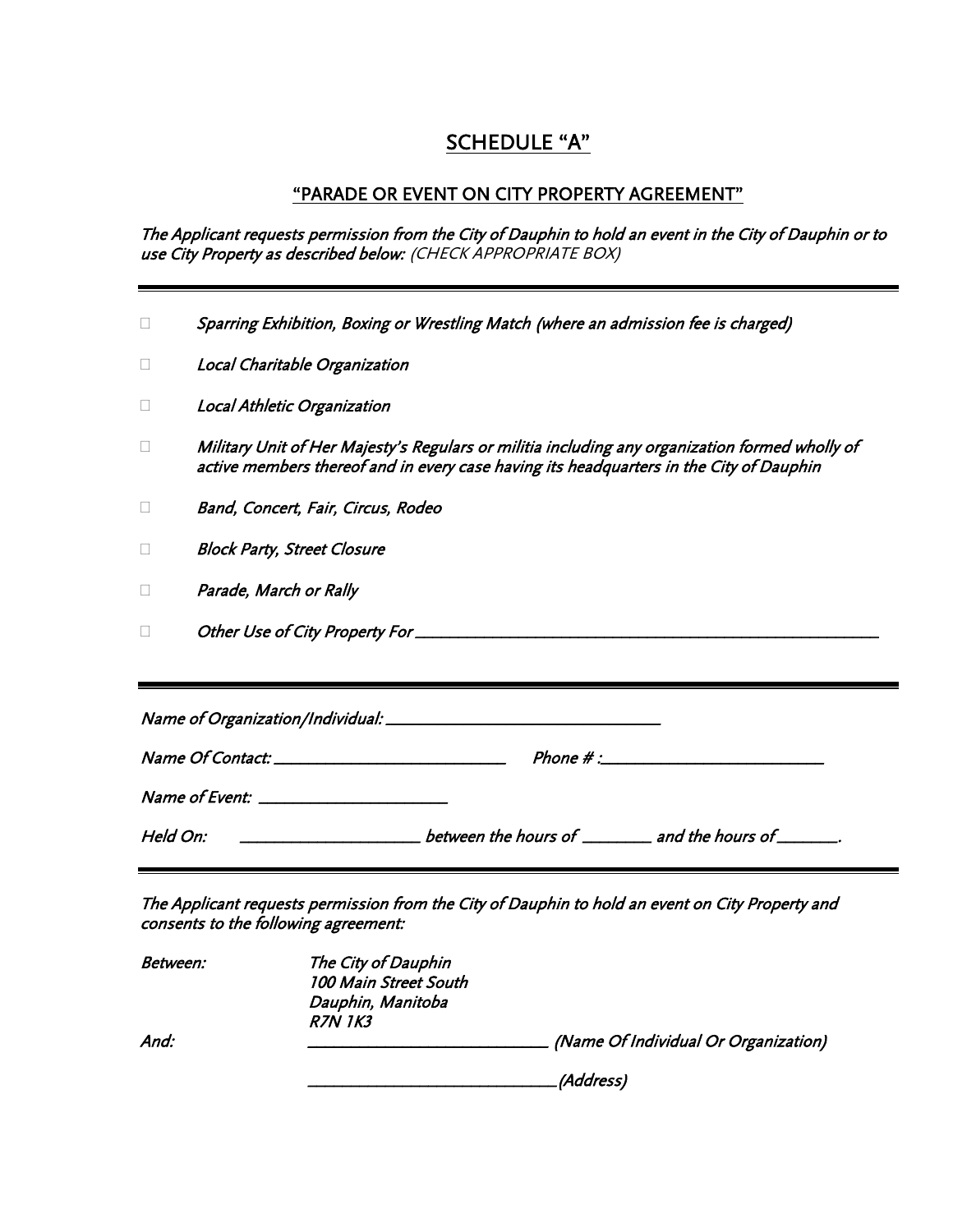# SCHEDULE "A"

### "PARADE OR EVENT ON CITY PROPERTY AGREEMENT"

The Applicant requests permission from the City of Dauphin to hold an event in the City of Dauphin or to use City Property as described below: (CHECK APPROPRIATE BOX)

|                                         | Sparring Exhibition, Boxing or Wrestling Match (where an admission fee is charged)                                                                                                        |  |  |
|-----------------------------------------|-------------------------------------------------------------------------------------------------------------------------------------------------------------------------------------------|--|--|
| $\Box$                                  | Local Charitable Organization                                                                                                                                                             |  |  |
| $\Box$                                  | Local Athletic Organization                                                                                                                                                               |  |  |
| $\Box$                                  | Military Unit of Her Majesty's Regulars or militia including any organization formed wholly of<br>active members thereof and in every case having its headquarters in the City of Dauphin |  |  |
| □                                       | Band, Concert, Fair, Circus, Rodeo                                                                                                                                                        |  |  |
| □                                       | <b>Block Party, Street Closure</b>                                                                                                                                                        |  |  |
| □                                       | Parade, March or Rally                                                                                                                                                                    |  |  |
| П                                       |                                                                                                                                                                                           |  |  |
|                                         |                                                                                                                                                                                           |  |  |
|                                         |                                                                                                                                                                                           |  |  |
|                                         | $Phone \# \text{:\textcolor{blue}{\textbf{\textit{---}}}}$                                                                                                                                |  |  |
| Name of Event: ________________________ |                                                                                                                                                                                           |  |  |
| Held On:                                |                                                                                                                                                                                           |  |  |

The Applicant requests permission from the City of Dauphin to hold an event on City Property and consents to the following agreement:

| Between: | The City of Dauphin   |                                      |
|----------|-----------------------|--------------------------------------|
|          | 100 Main Street South |                                      |
|          | Dauphin, Manitoba     |                                      |
|          | <b>R7N 1K3</b>        |                                      |
| And:     |                       | (Name Of Individual Or Organization) |
|          |                       | (Address)                            |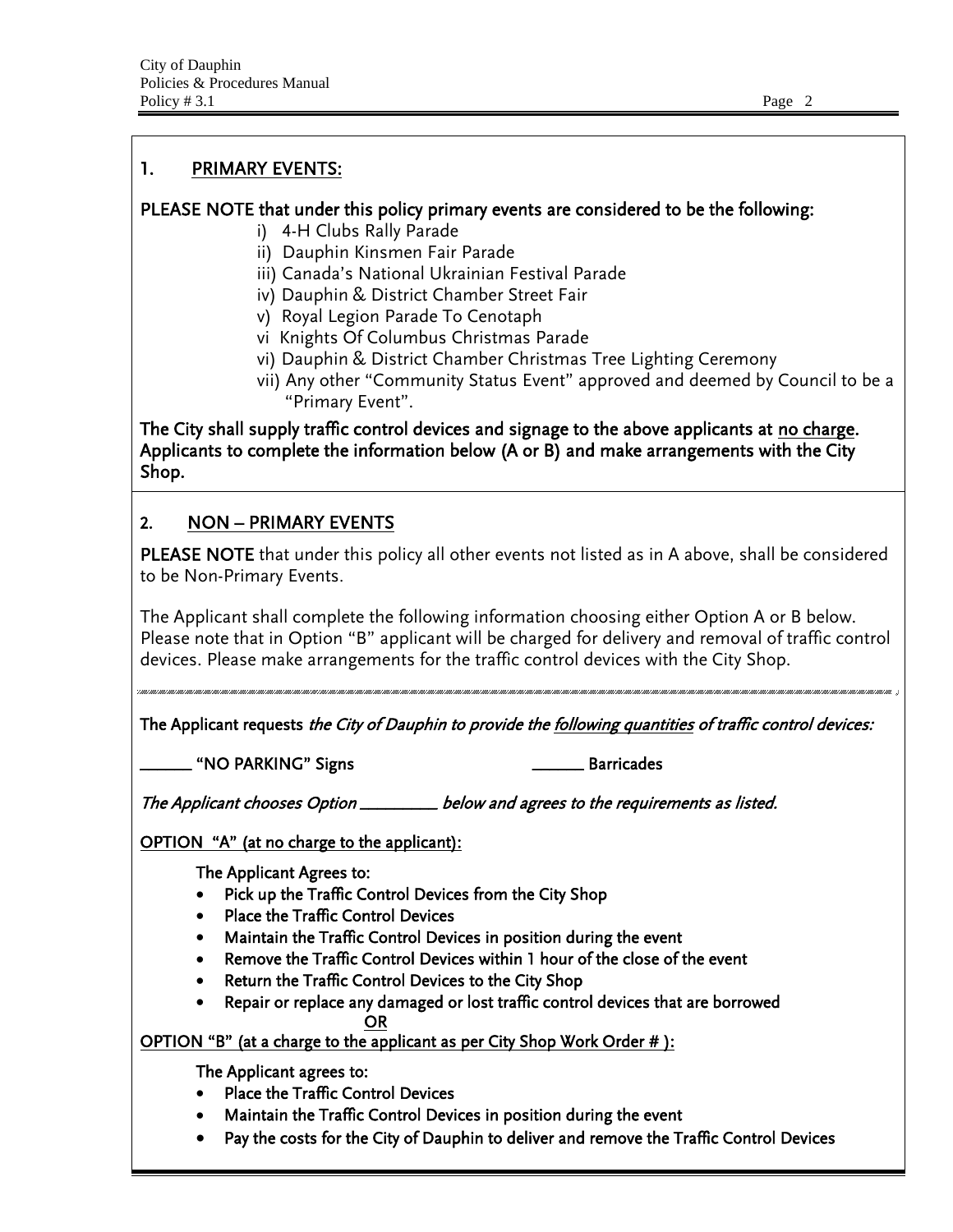### 1. PRIMARY EVENTS:

## PLEASE NOTE that under this policy primary events are considered to be the following:

- i) 4-H Clubs Rally Parade
- ii) Dauphin Kinsmen Fair Parade
- iii) Canada's National Ukrainian Festival Parade
- iv) Dauphin & District Chamber Street Fair
- v) Royal Legion Parade To Cenotaph
- vi Knights Of Columbus Christmas Parade
- vi) Dauphin & District Chamber Christmas Tree Lighting Ceremony
- vii) Any other "Community Status Event" approved and deemed by Council to be a "Primary Event".

The City shall supply traffic control devices and signage to the above applicants at no charge. Applicants to complete the information below (A or B) and make arrangements with the City Shop.

# 2. NON – PRIMARY EVENTS

PLEASE NOTE that under this policy all other events not listed as in A above, shall be considered to be Non-Primary Events.

The Applicant shall complete the following information choosing either Option A or B below. Please note that in Option "B" applicant will be charged for delivery and removal of traffic control devices. Please make arrangements for the traffic control devices with the City Shop.

The Applicant requests the City of Dauphin to provide the following quantities of traffic control devices:

\_\_\_\_\_\_ "NO PARKING" Signs \_\_\_\_\_\_ Barricades

The Applicant chooses Option \_\_\_\_\_\_\_\_\_ below and agrees to the requirements as listed.

OPTION "A" (at no charge to the applicant):

The Applicant Agrees to:

- Pick up the Traffic Control Devices from the City Shop
- Place the Traffic Control Devices
- Maintain the Traffic Control Devices in position during the event
- Remove the Traffic Control Devices within 1 hour of the close of the event
- Return the Traffic Control Devices to the City Shop
- Repair or replace any damaged or lost traffic control devices that are borrowed OR

OPTION "B" (at a charge to the applicant as per City Shop Work Order #):

The Applicant agrees to:

- Place the Traffic Control Devices
- Maintain the Traffic Control Devices in position during the event
- Pay the costs for the City of Dauphin to deliver and remove the Traffic Control Devices